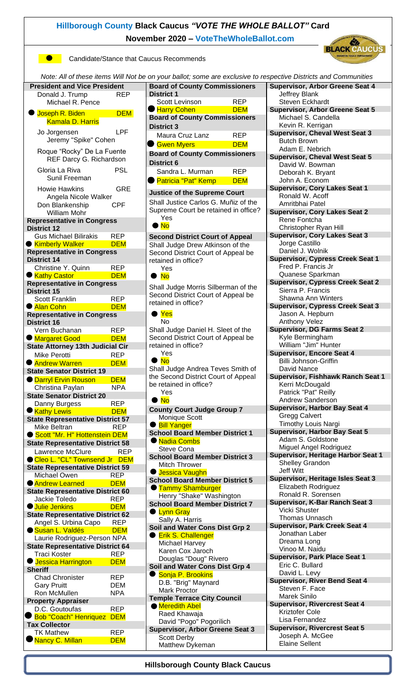## **[Hillborough](http://hcdbc.org/) County Black Caucus** *"VOTE THE WHOLE BALLOT"* **Card November 2020 – [VoteTheWholeBallot.com](http://www.votethewholeballot.com/)**

**Candidate/Stance that Caucus Recommends** 



| Note: All of these items Will Not be on your ballot; some are exclusive to respective Districts and Communities |                                          |                                                                             |            |                                                            |
|-----------------------------------------------------------------------------------------------------------------|------------------------------------------|-----------------------------------------------------------------------------|------------|------------------------------------------------------------|
| <b>President and Vice President</b>                                                                             |                                          | <b>Board of County Commissioners</b>                                        |            | <b>Supervisor, Arbor Greene Seat 4</b>                     |
| Donald J. Trump                                                                                                 | <b>REP</b>                               | <b>District 1</b>                                                           |            | Jeffrey Blank                                              |
| Michael R. Pence                                                                                                |                                          | Scott Levinson                                                              | <b>REP</b> | <b>Steven Eckhardt</b>                                     |
| <b>U</b> Joseph R. Biden                                                                                        | <b>DEM</b>                               | Harry Cohen                                                                 | <b>DEM</b> | <b>Supervisor, Arbor Greene Seat 5</b>                     |
| <b>Kamala D. Harris</b>                                                                                         |                                          | <b>Board of County Commissioners</b>                                        |            | Michael S. Candella                                        |
| Jo Jorgensen                                                                                                    | <b>LPF</b>                               | <b>District 3</b>                                                           |            | Kevin R. Kerrigan<br><b>Supervisor, Cheval West Seat 3</b> |
| Jeremy "Spike" Cohen                                                                                            |                                          | Maura Cruz Lanz                                                             | <b>REP</b> | <b>Butch Brown</b>                                         |
|                                                                                                                 |                                          | <b>Gwen Myers</b>                                                           | <b>DEM</b> | Adam E. Nebrich                                            |
| Roque "Rocky" De La Fuente<br>REF Darcy G. Richardson                                                           |                                          | <b>Board of County Commissioners</b>                                        |            | <b>Supervisor, Cheval West Seat 5</b>                      |
|                                                                                                                 |                                          | <b>District 6</b>                                                           |            | David W. Bowman                                            |
| Gloria La Riva                                                                                                  | <b>PSL</b>                               | Sandra L. Murman                                                            | <b>REP</b> | Deborah K. Bryant                                          |
| Sunil Freeman                                                                                                   |                                          | ● Patricia "Pat" Kemp                                                       | <b>DEM</b> | John A. Econom                                             |
| <b>GRE</b><br><b>Howie Hawkins</b>                                                                              |                                          |                                                                             |            | <b>Supervisor, Cory Lakes Seat 1</b>                       |
| Angela Nicole Walker<br>Don Blankenship<br><b>CPF</b><br>William Mohr                                           |                                          | <b>Justice of the Supreme Court</b><br>Shall Justice Carlos G. Muñiz of the |            | Ronald W. Acoff                                            |
|                                                                                                                 |                                          |                                                                             |            | Amritbhai Patel                                            |
|                                                                                                                 |                                          | Supreme Court be retained in office?<br>Yes                                 |            | <b>Supervisor, Cory Lakes Seat 2</b>                       |
| <b>Representative in Congress</b>                                                                               |                                          | $\bullet$ No                                                                |            | Rene Fontcha                                               |
| <b>District 12</b>                                                                                              |                                          |                                                                             |            | Christopher Ryan Hill                                      |
| <b>Gus Michael Bilirakis</b>                                                                                    | <b>REP</b>                               | <b>Second District Court of Appeal</b>                                      |            | <b>Supervisor, Cory Lakes Seat 3</b><br>Jorge Castillo     |
| <b>Kimberly Walker</b>                                                                                          | <b>DEM</b>                               | Shall Judge Drew Atkinson of the                                            |            | Daniel J. Wolnik                                           |
| <b>Representative in Congress</b><br><b>District 14</b>                                                         |                                          | Second District Court of Appeal be<br>retained in office?                   |            | <b>Supervisor, Cypress Creek Seat 1</b>                    |
| <b>REP</b><br>Christine Y. Quinn                                                                                |                                          | Yes                                                                         |            | Fred P. Francis Jr                                         |
| ● Kathy Castor                                                                                                  | <b>DEM</b>                               |                                                                             |            | Quanese Sparkman                                           |
| <b>Representative in Congress</b>                                                                               |                                          | $\bullet$ No                                                                |            | <b>Supervisor, Cypress Creek Seat 2</b>                    |
| <b>District 15</b>                                                                                              |                                          | Shall Judge Morris Silberman of the                                         |            | Sierra P. Francis                                          |
| <b>Scott Franklin</b>                                                                                           | <b>REP</b>                               | Second District Court of Appeal be<br>retained in office?                   |            | Shawna Ann Winters                                         |
| ● Alan Cohn                                                                                                     | <b>DEM</b>                               |                                                                             |            | <b>Supervisor, Cypress Creek Seat 3</b>                    |
| <b>Representative in Congress</b>                                                                               |                                          | $\bullet$ Yes                                                               |            | Jason A. Hepburn                                           |
| <b>District 16</b>                                                                                              |                                          | <b>No</b>                                                                   |            | Anthony Velez                                              |
| Vern Buchanan                                                                                                   | <b>REP</b>                               | Shall Judge Daniel H. Sleet of the                                          |            | <b>Supervisor, DG Farms Seat 2</b>                         |
| Margaret Good                                                                                                   | <b>DEM</b>                               | Second District Court of Appeal be<br>retained in office?                   |            | Kyle Bermingham<br>William "Jim" Hunter                    |
| State Attorney 13th Judicial Cir                                                                                |                                          | Yes                                                                         |            | <b>Supervisor, Encore Seat 4</b>                           |
| <b>Mike Perotti</b>                                                                                             | <b>REP</b><br>$\bullet$ No<br><b>DEM</b> |                                                                             |            | Billi Johnson-Griffin                                      |
| <b>Andrew Warren</b><br><b>State Senator District 19</b>                                                        |                                          | Shall Judge Andrea Teves Smith of                                           |            | David Nance                                                |
| <b>Darryl Ervin Rouson</b>                                                                                      | <b>DEM</b>                               | the Second District Court of Appeal                                         |            | Supervisor, Fishhawk Ranch Seat 1                          |
| Christina Paylan                                                                                                | <b>NPA</b>                               | be retained in office?                                                      |            | Kerri McDougald                                            |
| <b>State Senator District 20</b>                                                                                |                                          | Yes                                                                         |            | Patrick "Pat" Reilly                                       |
| <b>REP</b><br>Danny Burgess                                                                                     |                                          | $\bullet$ No                                                                |            | <b>Andrew Sanderson</b>                                    |
| <b>Kathy Lewis</b>                                                                                              | <b>DEM</b>                               | <b>County Court Judge Group 7</b>                                           |            | <b>Supervisor, Harbor Bay Seat 4</b>                       |
| <b>State Representative District 57</b>                                                                         |                                          | Monique Scott                                                               |            | <b>Gregg Calvert</b>                                       |
| Mike Beltran                                                                                                    | <b>REP</b>                               | <b>Bill Yanger</b>                                                          |            | <b>Timothy Louis Nargi</b>                                 |
| Scott "Mr. H" Hottenstein DEM                                                                                   |                                          | <b>School Board Member District 1</b>                                       |            | <b>Supervisor, Harbor Bay Seat 5</b><br>Adam S. Goldstone  |
| <b>State Representative District 58</b>                                                                         |                                          | ● Nadia Combs                                                               |            | Miguel Angel Rodriguez                                     |
| Lawrence McClure                                                                                                | <b>REP</b>                               | Steve Cona                                                                  |            | <b>Supervisor, Heritage Harbor Seat 1</b>                  |
| Cleo L. "CL" Townsend Jr DEM                                                                                    |                                          | <b>School Board Member District 3</b><br><b>Mitch Thrower</b>               |            | Shelley Grandon                                            |
| <b>State Representative District 59</b>                                                                         |                                          | <b>U</b> Jessica Vaughn                                                     |            | Jeff Witt                                                  |
| Michael Owen                                                                                                    | <b>REP</b>                               | <b>School Board Member District 5</b>                                       |            | <b>Supervisor, Heritage Isles Seat 3</b>                   |
| <b>Andrew Learned</b>                                                                                           | <b>DEM</b>                               | <b>Tammy Shamburger</b>                                                     |            | Elizabeth Rodriguez                                        |
| <b>State Representative District 60</b>                                                                         | <b>REP</b>                               | Henry "Shake" Washington                                                    |            | Ronald R. Sorensen                                         |
| Jackie Toledo<br><b>Julie Jenkins</b>                                                                           | <b>DEM</b>                               | <b>School Board Member District 7</b>                                       |            | <b>Supervisor, K-Bar Ranch Seat 3</b>                      |
| <b>State Representative District 62</b>                                                                         |                                          | <b>C</b> Lynn Gray                                                          |            | <b>Vicki Shuster</b>                                       |
| Angel S. Urbina Capo                                                                                            | <b>REP</b>                               | Sally A. Harris                                                             |            | <b>Thomas Unnasch</b>                                      |
| Susan L. Valdés                                                                                                 | <b>DEM</b>                               | Soil and Water Cons Dist Grp 2                                              |            | <b>Supervisor, Park Creek Seat 4</b>                       |
| Laurie Rodriguez-Person NPA                                                                                     |                                          | <b>Erik S. Challenger</b>                                                   |            | Jonathan Laber                                             |
| <b>State Representative District 64</b>                                                                         |                                          | Michael Harvey                                                              |            | Dreama Long<br>Vinoo M. Naidu                              |
| <b>Traci Koster</b>                                                                                             | <b>REP</b>                               | Karen Cox Jaroch                                                            |            | <b>Supervisor, Park Place Seat 1</b>                       |
| ● Jessica Harrington                                                                                            | <b>DEM</b>                               | Douglas "Doug" Rivero                                                       |            | Eric C. Bullard                                            |
| <b>Sheriff</b>                                                                                                  |                                          | Soil and Water Cons Dist Grp 4<br>Sonja P. Brookins                         |            | David L. Levy                                              |
| <b>Chad Chronister</b>                                                                                          | <b>REP</b>                               | D.B. "Brig" Maynard                                                         |            | <b>Supervisor, River Bend Seat 4</b>                       |
| <b>Gary Pruitt</b>                                                                                              | <b>DEM</b>                               | <b>Mark Proctor</b>                                                         |            | Steven F. Face                                             |
| Ron McMullen                                                                                                    | <b>NPA</b>                               | <b>Temple Terrace City Council</b>                                          |            | <b>Marek Sinilo</b>                                        |
| <b>Property Appraiser</b>                                                                                       |                                          | <b>Meredith Abel</b>                                                        |            | <b>Supervisor, Rivercrest Seat 4</b>                       |
| D.C. Goutoufas                                                                                                  | <b>REP</b><br><b>DEM</b>                 | Raed Khawaja                                                                |            | Kriztofer Cole                                             |
| <b>Bob "Coach" Henriquez</b><br><b>Tax Collector</b>                                                            |                                          | David "Pogo" Pogorilich                                                     |            | Lisa Fernandez                                             |
| <b>TK Mathew</b>                                                                                                | <b>REP</b>                               | <b>Supervisor, Arbor Greene Seat 3</b>                                      |            | <b>Supervisor, Rivercrest Seat 5</b>                       |
| Nancy C. Millan                                                                                                 | <b>DEM</b>                               | <b>Scott Derby</b>                                                          |            | Joseph A. McGee                                            |
|                                                                                                                 |                                          | Matthew Dykeman                                                             |            | <b>Elaine Sellent</b>                                      |

**Hillsborough County Black Caucus**